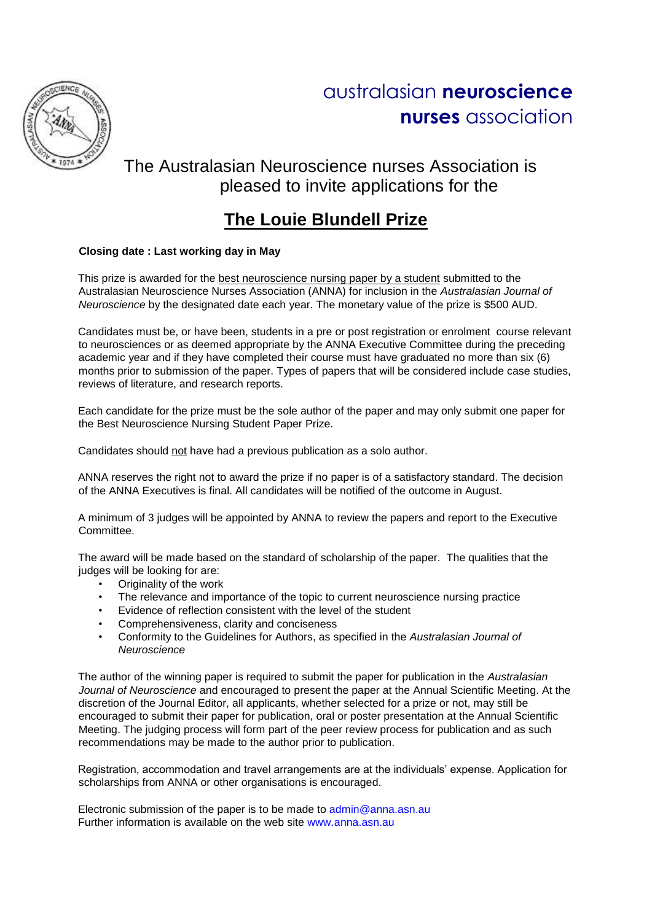

## The Australasian Neuroscience nurses Association is pleased to invite applications for the

## **The Louie Blundell Prize**

## **Closing date : Last working day in May**

This prize is awarded for the best neuroscience nursing paper by a student submitted to the Australasian Neuroscience Nurses Association (ANNA) for inclusion in the *Australasian Journal of Neuroscience* by the designated date each year. The monetary value of the prize is \$500 AUD.

Candidates must be, or have been, students in a pre or post registration or enrolment course relevant to neurosciences or as deemed appropriate by the ANNA Executive Committee during the preceding academic year and if they have completed their course must have graduated no more than six (6) months prior to submission of the paper. Types of papers that will be considered include case studies, reviews of literature, and research reports.

Each candidate for the prize must be the sole author of the paper and may only submit one paper for the Best Neuroscience Nursing Student Paper Prize.

Candidates should not have had a previous publication as a solo author.

ANNA reserves the right not to award the prize if no paper is of a satisfactory standard. The decision of the ANNA Executives is final. All candidates will be notified of the outcome in August.

A minimum of 3 judges will be appointed by ANNA to review the papers and report to the Executive Committee.

The award will be made based on the standard of scholarship of the paper. The qualities that the judges will be looking for are:

- Originality of the work
- The relevance and importance of the topic to current neuroscience nursing practice
- Evidence of reflection consistent with the level of the student
- Comprehensiveness, clarity and conciseness
- Conformity to the Guidelines for Authors, as specified in the *Australasian Journal of Neuroscience*

The author of the winning paper is required to submit the paper for publication in the *Australasian Journal of Neuroscience* and encouraged to present the paper at the Annual Scientific Meeting. At the discretion of the Journal Editor, all applicants, whether selected for a prize or not, may still be encouraged to submit their paper for publication, oral or poster presentation at the Annual Scientific Meeting. The judging process will form part of the peer review process for publication and as such recommendations may be made to the author prior to publication.

Registration, accommodation and travel arrangements are at the individuals' expense. Application for scholarships from ANNA or other organisations is encouraged.

Electronic submission of the paper is to be made to admin@anna.asn.au Further information is available on the web site www.anna.asn.au